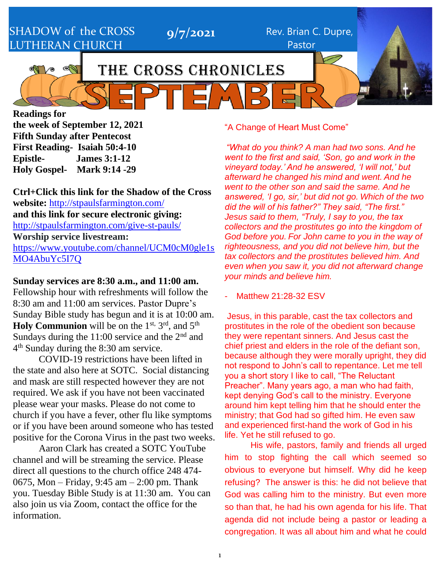SHADOW of the CROSS LUTHERAN CHURCH

**9/7/2021** Rev. Brian C. Dupre, Pastor

# THE CROSS CHRONICLES

**Readings for the week of September 12, 2021 Fifth Sunday after Pentecost First Reading- Isaiah 50:4-10 Epistle- James 3:1-12 Holy Gospel- Mark 9:14 -29** 

**Ctrl+Click this link for the Shadow of the Cross website:** <http://stpaulsfarmington.com/> **and this link for secure electronic giving:** <http://stpaulsfarmington.com/give-st-pauls/> **Worship service livestream:**  [https://www.youtube.com/channel/UCM0cM0gle1s](https://www.youtube.com/channel/UCM0cM0gle1sMO4AbuYc5I7Q) [MO4AbuYc5I7Q](https://www.youtube.com/channel/UCM0cM0gle1sMO4AbuYc5I7Q)

#### **Sunday services are 8:30 a.m., and 11:00 am.**

Fellowship hour with refreshments will follow the 8:30 am and 11:00 am services. Pastor Dupre's Sunday Bible study has begun and it is at 10:00 am. Holy Communion will be on the 1<sup>st, 3rd</sup>, and 5<sup>th</sup> Sundays during the 11:00 service and the  $2<sup>nd</sup>$  and 4<sup>th</sup> Sunday during the 8:30 am service.

COVID-19 restrictions have been lifted in the state and also here at SOTC. Social distancing and mask are still respected however they are not required. We ask if you have not been vaccinated please wear your masks. Please do not come to church if you have a fever, other flu like symptoms or if you have been around someone who has tested positive for the Corona Virus in the past two weeks.

Aaron Clark has created a SOTC YouTube channel and will be streaming the service. Please direct all questions to the church office 248 474- 0675, Mon – Friday, 9:45 am – 2:00 pm. Thank you. Tuesday Bible Study is at 11:30 am. You can also join us via Zoom, contact the office for the information.

#### "A Change of Heart Must Come"

*"What do you think? A man had two sons. And he went to the first and said, 'Son, go and work in the vineyard today.' And he answered, 'I will not,' but afterward he changed his mind and went. And he went to the other son and said the same. And he answered, 'I go, sir,' but did not go. Which of the two did the will of his father?" They said, "The first." Jesus said to them, "Truly, I say to you, the tax collectors and the prostitutes go into the kingdom of God before you. For John came to you in the way of righteousness, and you did not believe him, but the tax collectors and the prostitutes believed him. And even when you saw it, you did not afterward change your minds and believe him.*

Matthew 21:28-32 FSV

Jesus, in this parable, cast the tax collectors and prostitutes in the role of the obedient son because they were repentant sinners. And Jesus cast the chief priest and elders in the role of the defiant son, because although they were morally upright, they did not respond to John's call to repentance. Let me tell you a short story I like to call, "The Reluctant Preacher". Many years ago, a man who had faith, kept denying God's call to the ministry. Everyone around him kept telling him that he should enter the ministry; that God had so gifted him. He even saw and experienced first-hand the work of God in his life. Yet he still refused to go.

His wife, pastors, family and friends all urged him to stop fighting the call which seemed so obvious to everyone but himself. Why did he keep refusing? The answer is this: he did not believe that God was calling him to the ministry. But even more so than that, he had his own agenda for his life. That agenda did not include being a pastor or leading a congregation. It was all about him and what he could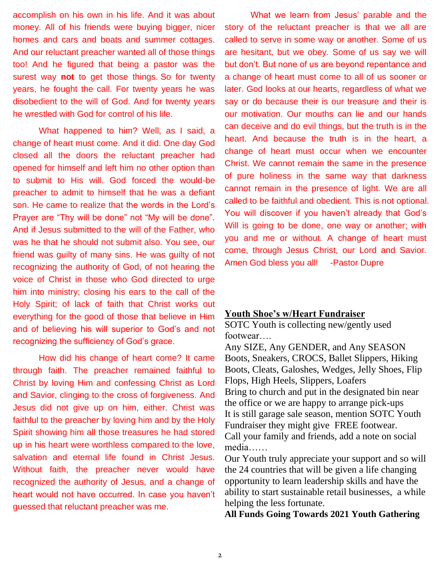accomplish on his own in his life. And it was about money. All of his friends were buying bigger, nicer homes and cars and boats and summer cottages. And our reluctant preacher wanted all of those things too! And he figured that being a pastor was the surest way **not** to get those things. So for twenty years, he fought the call. For twenty years he was disobedient to the will of God. And for twenty years he wrestled with God for control of his life.

What happened to him? Well, as I said, a change of heart must come. And it did. One day God closed all the doors the reluctant preacher had opened for himself and left him no other option than to submit to His will. God forced the would-be preacher to admit to himself that he was a defiant son. He came to realize that the words in the Lord's Prayer are "Thy will be done" not "My will be done". And if Jesus submitted to the will of the Father, who was he that he should not submit also. You see, our friend was guilty of many sins. He was guilty of not recognizing the authority of God, of not hearing the voice of Christ in those who God directed to urge him into ministry; closing his ears to the call of the Holy Spirit; of lack of faith that Christ works out everything for the good of those that believe in Him and of believing his will superior to God's and not recognizing the sufficiency of God's grace.

How did his change of heart come? It came through faith. The preacher remained faithful to Christ by loving Him and confessing Christ as Lord and Savior, clinging to the cross of forgiveness. And Jesus did not give up on him, either. Christ was faithful to the preacher by loving him and by the Holy Spirit showing him all those treasures he had stored up in his heart were worthless compared to the love, salvation and eternal life found in Christ Jesus. Without faith, the preacher never would have recognized the authority of Jesus, and a change of heart would not have occurred. In case you haven't guessed that reluctant preacher was me.

What we learn from Jesus' parable and the story of the reluctant preacher is that we all are called to serve in some way or another. Some of us are hesitant, but we obey. Some of us say we will but don't. But none of us are beyond repentance and a change of heart must come to all of us sooner or later. God looks at our hearts, regardless of what we say or do because their is our treasure and their is our motivation. Our mouths can lie and our hands can deceive and do evil things, but the truth is in the heart. And because the truth is in the heart, a change of heart must occur when we encounter Christ. We cannot remain the same in the presence of pure holiness in the same way that darkness cannot remain in the presence of light. We are all called to be faithful and obedient. This is not optional. You will discover if you haven't already that God's Will is going to be done, one way or another; with you and me or without. A change of heart must come, through Jesus Christ, our Lord and Savior. Amen God bless you all! - Pastor Dupre

#### **Youth Shoe's w/Heart Fundraiser**

SOTC Youth is collecting new/gently used footwear….

Any SIZE, Any GENDER, and Any SEASON Boots, Sneakers, CROCS, Ballet Slippers, Hiking Boots, Cleats, Galoshes, Wedges, Jelly Shoes, Flip Flops, High Heels, Slippers, Loafers Bring to church and put in the designated bin near the office or we are happy to arrange pick-ups It is still garage sale season, mention SOTC Youth Fundraiser they might give FREE footwear. Call your family and friends, add a note on social media……

Our Youth truly appreciate your support and so will the 24 countries that will be given a life changing opportunity to learn leadership skills and have the ability to start sustainable retail businesses, a while helping the less fortunate.

**All Funds Going Towards 2021 Youth Gathering**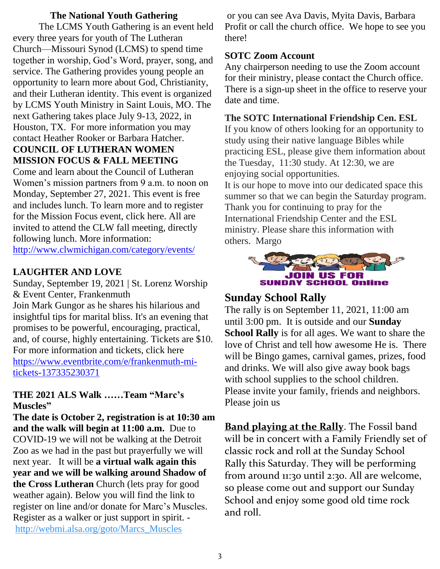#### **The National Youth Gathering**

The LCMS Youth Gathering is an event held every three years for youth of The Lutheran Church—Missouri Synod (LCMS) to spend time together in worship, God's Word, prayer, song, and service. The Gathering provides young people an opportunity to learn more about God, Christianity, and their Lutheran identity. This event is organized by LCMS Youth Ministry in Saint Louis, MO. The next Gathering takes place July 9-13, 2022, in Houston, TX. For more information you may contact Heather Rooker or Barbara Hatcher. **COUNCIL OF LUTHERAN WOMEN** 

# **MISSION FOCUS & FALL MEETING**

Come and learn about the Council of Lutheran Women's mission partners from 9 a.m. to noon on Monday, September 27, 2021. This event is free and includes lunch. To learn more and to register for the Mission Focus event, click here. All are invited to attend the CLW fall meeting, directly following lunch. More information: <http://www.clwmichigan.com/category/events/>

## **LAUGHTER AND LOVE**

Sunday, September 19, 2021 | St. Lorenz Worship & Event Center, Frankenmuth Join Mark Gungor as he shares his hilarious and insightful tips for marital bliss. It's an evening that promises to be powerful, encouraging, practical, and, of course, highly entertaining. Tickets are \$10. For more information and tickets, click here [https://www.eventbrite.com/e/frankenmuth-mi](https://www.eventbrite.com/e/frankenmuth-mi-tickets-137335230371)[tickets-137335230371](https://www.eventbrite.com/e/frankenmuth-mi-tickets-137335230371)

### **THE 2021 ALS Walk ……Team "Marc's Muscles"**

**The date is October 2, registration is at 10:30 am and the walk will begin at 11:00 a.m.** Due to COVID-19 we will not be walking at the Detroit Zoo as we had in the past but prayerfully we will next year. It will be **a virtual walk again this year and we will be walking around Shadow of the Cross Lutheran** Church (lets pray for good weather again). Below you will find the link to register on line and/or donate for Marc's Muscles. Register as a walker or just support in spirit. [http://webmi.alsa.org/goto/Marcs\\_Muscles](http://webmi.alsa.org/goto/Marcs_Muscles)

or you can see Ava Davis, Myita Davis, Barbara Profit or call the church office. We hope to see you there!

### **SOTC Zoom Account**

Any chairperson needing to use the Zoom account for their ministry, please contact the Church office. There is a sign-up sheet in the office to reserve your date and time.

### **The SOTC International Friendship Cen. ESL**

If you know of others looking for an opportunity to study using their native language Bibles while practicing ESL, please give them information about the Tuesday, 11:30 study. At 12:30, we are enjoying social opportunities.

It is our hope to move into our dedicated space this summer so that we can begin the Saturday program. Thank you for continuing to pray for the International Friendship Center and the ESL ministry. Please share this information with others. Margo



## **Sunday School Rally**

The rally is on September 11, 2021, 11:00 am until 3:00 pm. It is outside and our **Sunday School Rally** is for all ages. We want to share the love of Christ and tell how awesome He is. There will be Bingo games, carnival games, prizes, food and drinks. We will also give away book bags with school supplies to the school children. Please invite your family, friends and neighbors. Please join us

**Band playing at the Rally**. The Fossil band will be in concert with a Family Friendly set of classic rock and roll at the Sunday School Rally this Saturday. They will be performing from around 11:30 until 2:30. All are welcome, so please come out and support our Sunday School and enjoy some good old time rock and roll.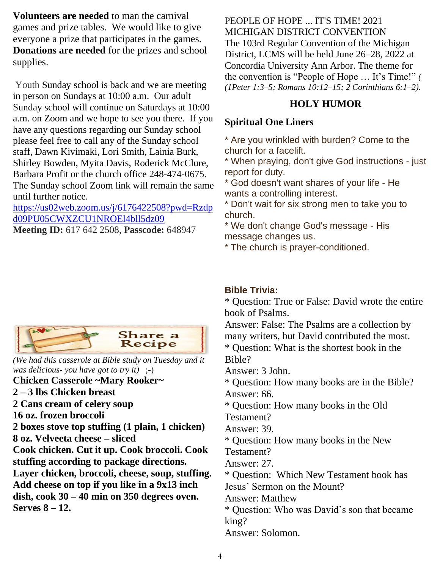**Volunteers are needed** to man the carnival games and prize tables. We would like to give everyone a prize that participates in the games. **Donations are needed** for the prizes and school supplies.

Youth Sunday school is back and we are meeting in person on Sundays at 10:00 a.m. Our adult Sunday school will continue on Saturdays at 10:00 a.m. on Zoom and we hope to see you there. If you have any questions regarding our Sunday school please feel free to call any of the Sunday school staff, Dawn Kivimaki, Lori Smith, Lainia Burk, Shirley Bowden, Myita Davis, Roderick McClure, Barbara Profit or the church office 248-474-0675. The Sunday school Zoom link will remain the same until further notice.

[https://us02web.zoom.us/j/6176422508?pwd=Rzdp](https://us02web.zoom.us/j/6176422508?pwd=Rzdpd09PU05CWXZCU1NROEl4bll5dz09) [d09PU05CWXZCU1NROEl4bll5dz09](https://us02web.zoom.us/j/6176422508?pwd=Rzdpd09PU05CWXZCU1NROEl4bll5dz09)

**Meeting ID:** 617 642 2508, **Passcode:** 648947



*(We had this casserole at Bible study on Tuesday and it was delicious- you have got to try it)* ;-) **Chicken Casserole ~Mary Rooker~ 2 – 3 lbs Chicken breast 2 Cans cream of celery soup 16 oz. frozen broccoli 2 boxes stove top stuffing (1 plain, 1 chicken) 8 oz. Velveeta cheese – sliced Cook chicken. Cut it up. Cook broccoli. Cook stuffing according to package directions. Layer chicken, broccoli, cheese, soup, stuffing. Add cheese on top if you like in a 9x13 inch dish, cook 30 – 40 min on 350 degrees oven. Serves 8 – 12.**

PEOPLE OF HOPE ... IT'S TIME! 2021 MICHIGAN DISTRICT CONVENTION The 103rd Regular Convention of the Michigan District, LCMS will be held June 26–28, 2022 at Concordia University Ann Arbor. The theme for the convention is "People of Hope … It's Time!" *( (1Peter 1:3–5; Romans 10:12–15; 2 Corinthians 6:1–2).*

## **HOLY HUMOR**

## **Spiritual One Liners**

\* Are you wrinkled with burden? Come to the church for a facelift.

\* When praying, don't give God instructions - just report for duty.

\* God doesn't want shares of your life - He wants a controlling interest.

\* Don't wait for six strong men to take you to church.

\* We don't change God's message - His message changes us.

\* The church is prayer-conditioned.

## **Bible Trivia:**

\* Question: True or False: David wrote the entire book of Psalms.

Answer: False: The Psalms are a collection by many writers, but David contributed the most.

\* Question: What is the shortest book in the Bible?

Answer: 3 John.

\* Question: How many books are in the Bible? Answer: 66.

\* Question: How many books in the Old Testament?

Answer: 39.

\* Question: How many books in the New

Testament?

Answer: 27.

\* Question: Which New Testament book has Jesus' Sermon on the Mount?

Answer: Matthew

\* Question: Who was David's son that became king?

Answer: Solomon.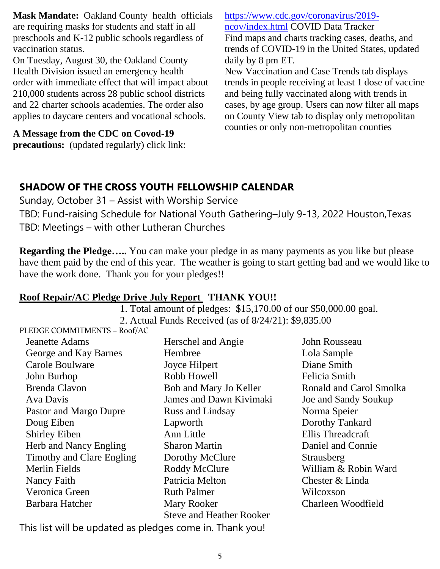**Mask Mandate:** Oakland County [health](https://www.detroitnews.com/story/news/local/oakland-county/2021/08/24/michigan-county-mask-mandate-oakland-county-k-12-students/5574078001/) officials are requiring masks for students and staff in all preschools and K-12 public schools regardless of vaccination status.

On Tuesday, August 30, the Oakland County Health Division issued an emergency health order with immediate effect that will impact about 210,000 students across 28 public school districts and 22 charter schools academies. The order also applies to daycare centers and vocational schools.

**A Message from the CDC on Covod-19** 

**precautions:** (updated regularly) click link:

[https://www.cdc.gov/coronavirus/2019](https://www.cdc.gov/coronavirus/2019-ncov/index.html) [ncov/index.html](https://www.cdc.gov/coronavirus/2019-ncov/index.html) COVID Data Tracker Find maps and charts tracking cases, deaths, and trends of COVID-19 in the United States, updated daily by 8 pm ET.

New Vaccination and Case Trends tab displays trends in people receiving at least 1 dose of vaccine and being fully vaccinated along with trends in cases, by age group. Users can now filter all maps on County View tab to display only metropolitan counties or only non-metropolitan counties

# **SHADOW OF THE CROSS YOUTH FELLOWSHIP CALENDAR**

Sunday, October 31 – Assist with Worship Service TBD: Fund-raising Schedule for National Youth Gathering–July 9-13, 2022 Houston,Texas TBD: Meetings – with other Lutheran Churches

**Regarding the Pledge…..** You can make your pledge in as many payments as you like but please have them paid by the end of this year. The weather is going to start getting bad and we would like to have the work done. Thank you for your pledges!!

## **Roof Repair/AC Pledge Drive July Report THANK YOU!!**

 1. Total amount of pledges: \$15,170.00 of our \$50,000.00 goal. 2. Actual Funds Received (as of 8/24/21): \$9,835.00

PLEDGE COMMITMENTS – Roof/AC

Jeanette Adams George and Kay Barnes Carole Boulware John Burhop Brenda Clavon Ava Davis Pastor and Margo Dupre Doug Eiben Shirley Eiben Herb and Nancy Engling Timothy and Clare Engling Merlin Fields Nancy Faith Veronica Green Barbara Hatcher

Herschel and Angie Hembree Joyce Hilpert Robb Howell Bob and Mary Jo Keller James and Dawn Kivimaki Russ and Lindsay Lapworth Ann Little Sharon Martin Dorothy McClure Roddy McClure Patricia Melton Ruth Palmer Mary Rooker Steve and Heather Rooker

John Rousseau Lola Sample Diane Smith Felicia Smith Ronald and Carol Smolka Joe and Sandy Soukup Norma Speier Dorothy Tankard Ellis Threadcraft Daniel and Connie Strausberg William & Robin Ward Chester & Linda Wilcoxson Charleen Woodfield

This list will be updated as pledges come in. Thank you!